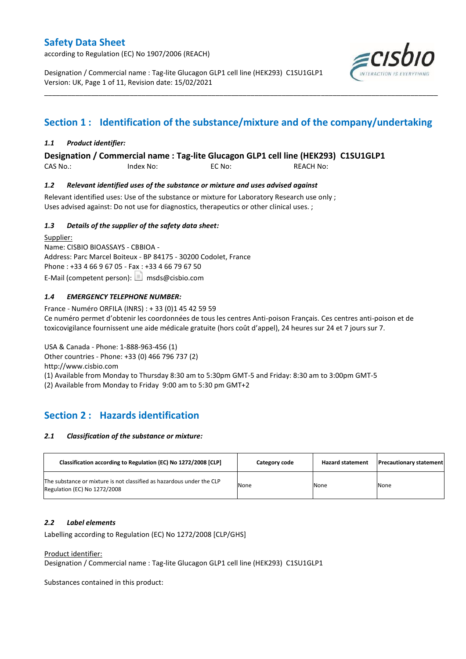according to Regulation (EC) No 1907/2006 (REACH)

Designation / Commercial name : Tag-lite Glucagon GLP1 cell line (HEK293) C1SU1GLP1 Version: UK, Page 1 of 11, Revision date: 15/02/2021



# **Section 1 : Identification of the substance/mixture and of the company/undertaking**

\_\_\_\_\_\_\_\_\_\_\_\_\_\_\_\_\_\_\_\_\_\_\_\_\_\_\_\_\_\_\_\_\_\_\_\_\_\_\_\_\_\_\_\_\_\_\_\_\_\_\_\_\_\_\_\_\_\_\_\_\_\_\_\_\_\_\_\_\_\_\_\_\_\_\_\_\_\_\_\_\_\_\_\_\_\_\_\_\_\_\_\_\_\_\_\_\_\_\_\_\_

### *1.1 Product identifier:*

**Designation / Commercial name : Tag-lite Glucagon GLP1 cell line (HEK293) C1SU1GLP1** 

CAS No.: Index No: EC No: REACH No:

### *1.2 Relevant identified uses of the substance or mixture and uses advised against*

Relevant identified uses: Use of the substance or mixture for Laboratory Research use only ; Uses advised against: Do not use for diagnostics, therapeutics or other clinical uses. ;

### *1.3 Details of the supplier of the safety data sheet:*

Supplier: Name: CISBIO BIOASSAYS - CBBIOA - Address: Parc Marcel Boiteux - BP 84175 - 30200 Codolet, France Phone : +33 4 66 9 67 05 - Fax : +33 4 66 79 67 50 E-Mail (competent person):  $\boxed{\equiv}$  msds@cisbio.com

### *1.4 EMERGENCY TELEPHONE NUMBER:*

France - Numéro ORFILA (INRS) : + 33 (0)1 45 42 59 59 Ce numéro permet d'obtenir les coordonnées de tous les centres Anti-poison Français. Ces centres anti-poison et de toxicovigilance fournissent une aide médicale gratuite (hors coût d'appel), 24 heures sur 24 et 7 jours sur 7.

USA & Canada - Phone: 1-888-963-456 (1) Other countries - Phone: +33 (0) 466 796 737 (2) http://www.cisbio.com (1) Available from Monday to Thursday 8:30 am to 5:30pm GMT-5 and Friday: 8:30 am to 3:00pm GMT-5 (2) Available from Monday to Friday 9:00 am to 5:30 pm GMT+2

## **Section 2 : Hazards identification**

#### *2.1 Classification of the substance or mixture:*

| Classification according to Regulation (EC) No 1272/2008 [CLP]                                        | Category code | <b>Hazard statement</b> | <b>Precautionary statement</b> |
|-------------------------------------------------------------------------------------------------------|---------------|-------------------------|--------------------------------|
| The substance or mixture is not classified as hazardous under the CLP<br>Regulation (EC) No 1272/2008 | None          | None                    | None                           |

#### *2.2 Label elements*

Labelling according to Regulation (EC) No 1272/2008 [CLP/GHS]

#### Product identifier:

Designation / Commercial name : Tag-lite Glucagon GLP1 cell line (HEK293) C1SU1GLP1

Substances contained in this product: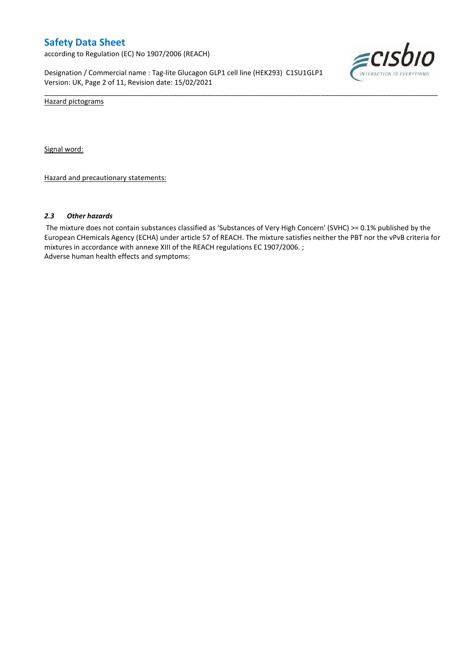according to Regulation (EC) No 1907/2006 (REACH)

Designation / Commercial name : Tag-lite Glucagon GLP1 cell line (HEK293) C1SU1GLP1 Version: UK, Page 2 of 11, Revision date: 15/02/2021



Hazard pictograms

Signal word:

Hazard and precautionary statements:

#### *2.3 Other hazards*

The mixture does not contain substances classified as 'Substances of Very High Concern' (SVHC) >= 0.1% published by the European CHemicals Agency (ECHA) under article 57 of REACH. The mixture satisfies neither the PBT nor the vPvB criteria for mixtures in accordance with annexe XIII of the REACH regulations EC 1907/2006. ; Adverse human health effects and symptoms:

\_\_\_\_\_\_\_\_\_\_\_\_\_\_\_\_\_\_\_\_\_\_\_\_\_\_\_\_\_\_\_\_\_\_\_\_\_\_\_\_\_\_\_\_\_\_\_\_\_\_\_\_\_\_\_\_\_\_\_\_\_\_\_\_\_\_\_\_\_\_\_\_\_\_\_\_\_\_\_\_\_\_\_\_\_\_\_\_\_\_\_\_\_\_\_\_\_\_\_\_\_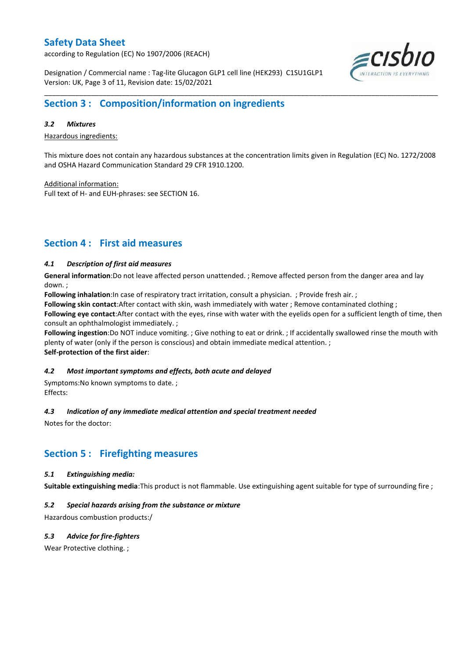according to Regulation (EC) No 1907/2006 (REACH)

Designation / Commercial name : Tag-lite Glucagon GLP1 cell line (HEK293) C1SU1GLP1 Version: UK, Page 3 of 11, Revision date: 15/02/2021



## **Section 3 : Composition/information on ingredients**

#### *3.2 Mixtures*

Hazardous ingredients:

This mixture does not contain any hazardous substances at the concentration limits given in Regulation (EC) No. 1272/2008 and OSHA Hazard Communication Standard 29 CFR 1910.1200.

\_\_\_\_\_\_\_\_\_\_\_\_\_\_\_\_\_\_\_\_\_\_\_\_\_\_\_\_\_\_\_\_\_\_\_\_\_\_\_\_\_\_\_\_\_\_\_\_\_\_\_\_\_\_\_\_\_\_\_\_\_\_\_\_\_\_\_\_\_\_\_\_\_\_\_\_\_\_\_\_\_\_\_\_\_\_\_\_\_\_\_\_\_\_\_\_\_\_\_\_\_

Additional information:

Full text of H- and EUH-phrases: see SECTION 16.

## **Section 4 : First aid measures**

### *4.1 Description of first aid measures*

**General information**:Do not leave affected person unattended. ; Remove affected person from the danger area and lay down. ;

**Following inhalation**:In case of respiratory tract irritation, consult a physician. ; Provide fresh air. ;

**Following skin contact**:After contact with skin, wash immediately with water ; Remove contaminated clothing ;

**Following eye contact**:After contact with the eyes, rinse with water with the eyelids open for a sufficient length of time, then consult an ophthalmologist immediately. ;

**Following ingestion**:Do NOT induce vomiting. ; Give nothing to eat or drink. ; If accidentally swallowed rinse the mouth with plenty of water (only if the person is conscious) and obtain immediate medical attention. ; **Self-protection of the first aider**:

#### *4.2 Most important symptoms and effects, both acute and delayed*

Symptoms:No known symptoms to date. ; Effects:

#### *4.3 Indication of any immediate medical attention and special treatment needed*

Notes for the doctor:

### **Section 5 : Firefighting measures**

#### *5.1 Extinguishing media:*

**Suitable extinguishing media**:This product is not flammable. Use extinguishing agent suitable for type of surrounding fire ;

### *5.2 Special hazards arising from the substance or mixture*

Hazardous combustion products:/

### *5.3 Advice for fire-fighters*

Wear Protective clothing.;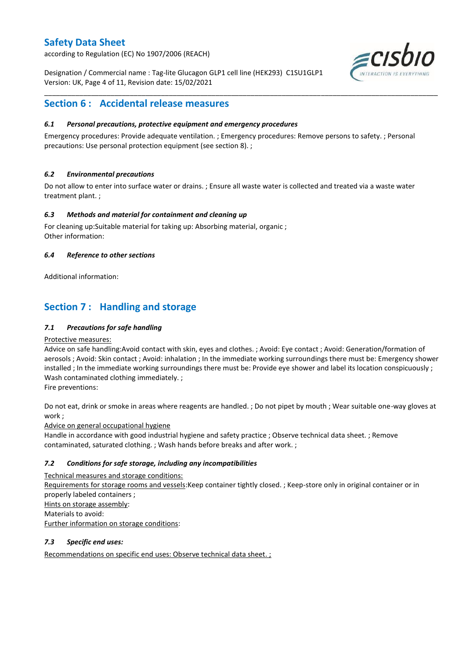according to Regulation (EC) No 1907/2006 (REACH)

Designation / Commercial name : Tag-lite Glucagon GLP1 cell line (HEK293) C1SU1GLP1 Version: UK, Page 4 of 11, Revision date: 15/02/2021



## **Section 6 : Accidental release measures**

### *6.1 Personal precautions, protective equipment and emergency procedures*

Emergency procedures: Provide adequate ventilation. ; Emergency procedures: Remove persons to safety. ; Personal precautions: Use personal protection equipment (see section 8). ;

\_\_\_\_\_\_\_\_\_\_\_\_\_\_\_\_\_\_\_\_\_\_\_\_\_\_\_\_\_\_\_\_\_\_\_\_\_\_\_\_\_\_\_\_\_\_\_\_\_\_\_\_\_\_\_\_\_\_\_\_\_\_\_\_\_\_\_\_\_\_\_\_\_\_\_\_\_\_\_\_\_\_\_\_\_\_\_\_\_\_\_\_\_\_\_\_\_\_\_\_\_

### *6.2 Environmental precautions*

Do not allow to enter into surface water or drains. ; Ensure all waste water is collected and treated via a waste water treatment plant. ;

### *6.3 Methods and material for containment and cleaning up*

For cleaning up:Suitable material for taking up: Absorbing material, organic ; Other information:

### *6.4 Reference to other sections*

Additional information:

# **Section 7 : Handling and storage**

### *7.1 Precautions for safe handling*

### Protective measures:

Advice on safe handling:Avoid contact with skin, eyes and clothes. ; Avoid: Eye contact ; Avoid: Generation/formation of aerosols ; Avoid: Skin contact ; Avoid: inhalation ; In the immediate working surroundings there must be: Emergency shower installed ; In the immediate working surroundings there must be: Provide eye shower and label its location conspicuously ; Wash contaminated clothing immediately. ;

Fire preventions:

Do not eat, drink or smoke in areas where reagents are handled. ; Do not pipet by mouth ; Wear suitable one-way gloves at work ;

Advice on general occupational hygiene

Handle in accordance with good industrial hygiene and safety practice ; Observe technical data sheet. ; Remove contaminated, saturated clothing. ; Wash hands before breaks and after work. ;

### *7.2 Conditions for safe storage, including any incompatibilities*

Technical measures and storage conditions: Requirements for storage rooms and vessels:Keep container tightly closed. ; Keep-store only in original container or in properly labeled containers ; Hints on storage assembly: Materials to avoid: Further information on storage conditions:

### *7.3 Specific end uses:*

Recommendations on specific end uses: Observe technical data sheet. ;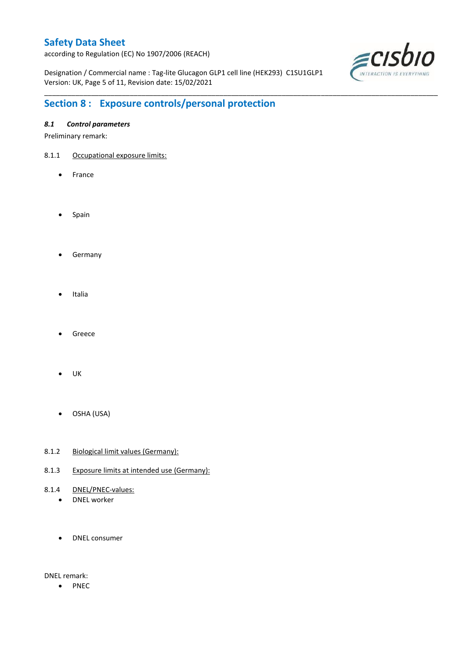according to Regulation (EC) No 1907/2006 (REACH)

Designation / Commercial name : Tag-lite Glucagon GLP1 cell line (HEK293) C1SU1GLP1 Version: UK, Page 5 of 11, Revision date: 15/02/2021

\_\_\_\_\_\_\_\_\_\_\_\_\_\_\_\_\_\_\_\_\_\_\_\_\_\_\_\_\_\_\_\_\_\_\_\_\_\_\_\_\_\_\_\_\_\_\_\_\_\_\_\_\_\_\_\_\_\_\_\_\_\_\_\_\_\_\_\_\_\_\_\_\_\_\_\_\_\_\_\_\_\_\_\_\_\_\_\_\_\_\_\_\_\_\_\_\_\_\_\_\_



# **Section 8 : Exposure controls/personal protection**

### *8.1 Control parameters*

Preliminary remark:

- 8.1.1 Occupational exposure limits:
	- France
	- Spain
	- **•** Germany
	- Italia
	- Greece
	- $\bullet$  UK
	- OSHA (USA)
- 8.1.2 Biological limit values (Germany):
- 8.1.3 Exposure limits at intended use (Germany):
- 8.1.4 DNEL/PNEC-values:
	- DNEL worker
	- DNEL consumer

DNEL remark:

• PNEC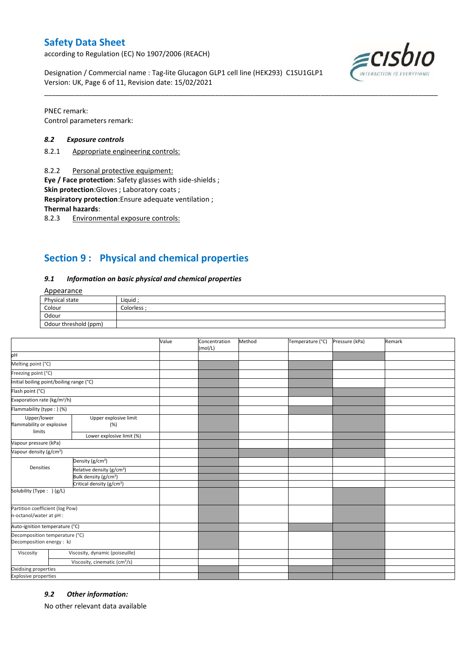according to Regulation (EC) No 1907/2006 (REACH)

Designation / Commercial name : Tag-lite Glucagon GLP1 cell line (HEK293) C1SU1GLP1 Version: UK, Page 6 of 11, Revision date: 15/02/2021



PNEC remark: Control parameters remark:

#### *8.2 Exposure controls*

- 8.2.1 Appropriate engineering controls:
- 8.2.2 Personal protective equipment:

**Eye / Face protection**: Safety glasses with side-shields ;

**Skin protection**:Gloves ; Laboratory coats ;

**Respiratory protection**:Ensure adequate ventilation ;

**Thermal hazards**:

8.2.3 Environmental exposure controls:

## **Section 9 : Physical and chemical properties**

#### *9.1 Information on basic physical and chemical properties*

### **Annearance**

| Physical state        | Liauid    |
|-----------------------|-----------|
| Colour                | Colorless |
| Odour                 |           |
| Odour threshold (ppm) |           |

\_\_\_\_\_\_\_\_\_\_\_\_\_\_\_\_\_\_\_\_\_\_\_\_\_\_\_\_\_\_\_\_\_\_\_\_\_\_\_\_\_\_\_\_\_\_\_\_\_\_\_\_\_\_\_\_\_\_\_\_\_\_\_\_\_\_\_\_\_\_\_\_\_\_\_\_\_\_\_\_\_\_\_\_\_\_\_\_\_\_\_\_\_\_\_\_\_\_\_\_\_

|                                                             |                                           | Value | Concentration<br>(mol/L) | Method | Temperature (°C) | Pressure (kPa) | Remark |
|-------------------------------------------------------------|-------------------------------------------|-------|--------------------------|--------|------------------|----------------|--------|
| pH                                                          |                                           |       |                          |        |                  |                |        |
| Melting point (°C)                                          |                                           |       |                          |        |                  |                |        |
| Freezing point (°C)                                         |                                           |       |                          |        |                  |                |        |
| Initial boiling point/boiling range (°C)                    |                                           |       |                          |        |                  |                |        |
| Flash point (°C)                                            |                                           |       |                          |        |                  |                |        |
| Evaporation rate (kg/m <sup>2</sup> /h)                     |                                           |       |                          |        |                  |                |        |
| Flammability (type: ) (%)                                   |                                           |       |                          |        |                  |                |        |
| Upper/lower<br>flammability or explosive<br>limits          | Upper explosive limit<br>(%)              |       |                          |        |                  |                |        |
|                                                             | Lower explosive limit (%)                 |       |                          |        |                  |                |        |
| Vapour pressure (kPa)                                       |                                           |       |                          |        |                  |                |        |
| Vapour density (g/cm <sup>3</sup> )                         |                                           |       |                          |        |                  |                |        |
| Densities                                                   | Density (g/cm <sup>3</sup> )              |       |                          |        |                  |                |        |
|                                                             | Relative density (g/cm <sup>3</sup> )     |       |                          |        |                  |                |        |
|                                                             | Bulk density (g/cm <sup>3</sup> )         |       |                          |        |                  |                |        |
|                                                             | Critical density (g/cm <sup>3</sup> )     |       |                          |        |                  |                |        |
| Solubility (Type: ) (g/L)                                   |                                           |       |                          |        |                  |                |        |
| Partition coefficient (log Pow)<br>n-octanol/water at pH :  |                                           |       |                          |        |                  |                |        |
| Auto-ignition temperature (°C)                              |                                           |       |                          |        |                  |                |        |
| Decomposition temperature (°C)<br>Decomposition energy : kJ |                                           |       |                          |        |                  |                |        |
| Viscosity                                                   | Viscosity, dynamic (poiseuille)           |       |                          |        |                  |                |        |
|                                                             | Viscosity, cinematic (cm <sup>3</sup> /s) |       |                          |        |                  |                |        |
| Oxidising properties                                        |                                           |       |                          |        |                  |                |        |
| <b>Explosive properties</b>                                 |                                           |       |                          |        |                  |                |        |

#### *9.2 Other information:*

No other relevant data available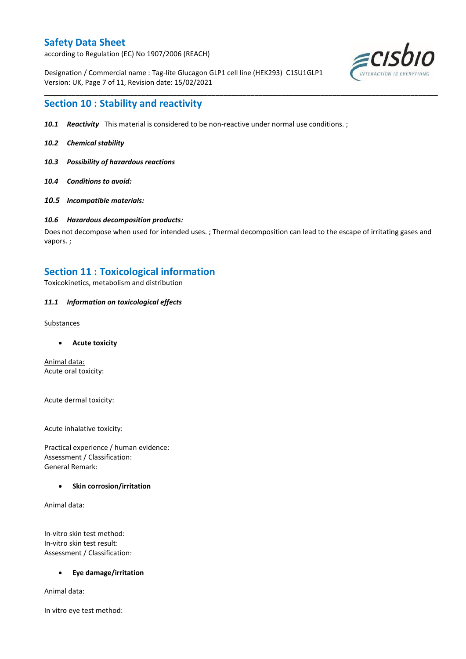according to Regulation (EC) No 1907/2006 (REACH)

Designation / Commercial name : Tag-lite Glucagon GLP1 cell line (HEK293) C1SU1GLP1 Version: UK, Page 7 of 11, Revision date: 15/02/2021



## **Section 10 : Stability and reactivity**

- *10.1 Reactivity* This material is considered to be non-reactive under normal use conditions. ;
- *10.2 Chemical stability*
- *10.3 Possibility of hazardous reactions*
- *10.4 Conditions to avoid:*
- *10.5 Incompatible materials:*

#### *10.6 Hazardous decomposition products:*

Does not decompose when used for intended uses. ; Thermal decomposition can lead to the escape of irritating gases and vapors. ;

\_\_\_\_\_\_\_\_\_\_\_\_\_\_\_\_\_\_\_\_\_\_\_\_\_\_\_\_\_\_\_\_\_\_\_\_\_\_\_\_\_\_\_\_\_\_\_\_\_\_\_\_\_\_\_\_\_\_\_\_\_\_\_\_\_\_\_\_\_\_\_\_\_\_\_\_\_\_\_\_\_\_\_\_\_\_\_\_\_\_\_\_\_\_\_\_\_\_\_\_\_

## **Section 11 : Toxicological information**

Toxicokinetics, metabolism and distribution

### *11.1 Information on toxicological effects*

#### **Substances**

**Acute toxicity**

Animal data: Acute oral toxicity:

Acute dermal toxicity:

Acute inhalative toxicity:

Practical experience / human evidence: Assessment / Classification: General Remark:

#### **Skin corrosion/irritation**

Animal data:

In-vitro skin test method: In-vitro skin test result: Assessment / Classification:

#### **Eye damage/irritation**

Animal data:

In vitro eye test method: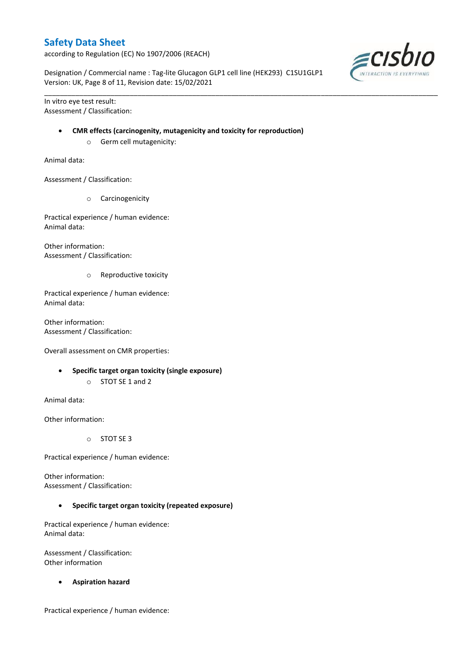according to Regulation (EC) No 1907/2006 (REACH)

Designation / Commercial name : Tag-lite Glucagon GLP1 cell line (HEK293) C1SU1GLP1 Version: UK, Page 8 of 11, Revision date: 15/02/2021

\_\_\_\_\_\_\_\_\_\_\_\_\_\_\_\_\_\_\_\_\_\_\_\_\_\_\_\_\_\_\_\_\_\_\_\_\_\_\_\_\_\_\_\_\_\_\_\_\_\_\_\_\_\_\_\_\_\_\_\_\_\_\_\_\_\_\_\_\_\_\_\_\_\_\_\_\_\_\_\_\_\_\_\_\_\_\_\_\_\_\_\_\_\_\_\_\_\_\_\_\_

In vitro eye test result: Assessment / Classification:

### **CMR effects (carcinogenity, mutagenicity and toxicity for reproduction)**

o Germ cell mutagenicity:

Animal data:

Assessment / Classification:

o Carcinogenicity

Practical experience / human evidence: Animal data:

Other information: Assessment / Classification:

o Reproductive toxicity

Practical experience / human evidence: Animal data:

Other information: Assessment / Classification:

Overall assessment on CMR properties:

- **Specific target organ toxicity (single exposure)**
	- o STOT SE 1 and 2

Animal data:

Other information:

o STOT SE 3

Practical experience / human evidence:

Other information: Assessment / Classification:

**Specific target organ toxicity (repeated exposure)**

Practical experience / human evidence: Animal data:

Assessment / Classification: Other information

**Aspiration hazard**

Practical experience / human evidence:

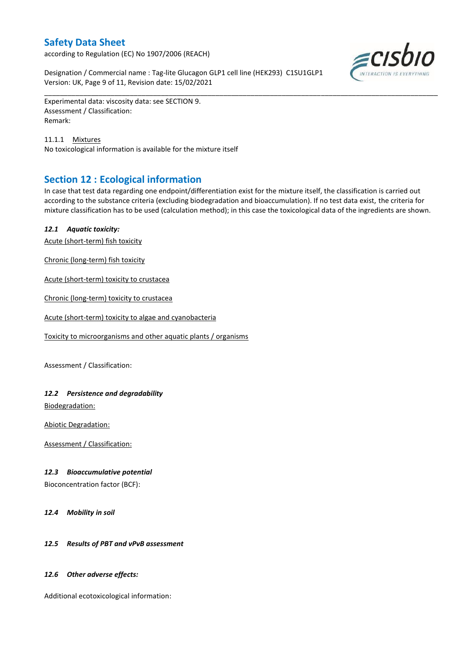according to Regulation (EC) No 1907/2006 (REACH)

Designation / Commercial name : Tag-lite Glucagon GLP1 cell line (HEK293) C1SU1GLP1 Version: UK, Page 9 of 11, Revision date: 15/02/2021



Experimental data: viscosity data: see SECTION 9. Assessment / Classification: Remark:

11.1.1 Mixtures No toxicological information is available for the mixture itself

## **Section 12 : Ecological information**

In case that test data regarding one endpoint/differentiation exist for the mixture itself, the classification is carried out according to the substance criteria (excluding biodegradation and bioaccumulation). If no test data exist, the criteria for mixture classification has to be used (calculation method); in this case the toxicological data of the ingredients are shown.

\_\_\_\_\_\_\_\_\_\_\_\_\_\_\_\_\_\_\_\_\_\_\_\_\_\_\_\_\_\_\_\_\_\_\_\_\_\_\_\_\_\_\_\_\_\_\_\_\_\_\_\_\_\_\_\_\_\_\_\_\_\_\_\_\_\_\_\_\_\_\_\_\_\_\_\_\_\_\_\_\_\_\_\_\_\_\_\_\_\_\_\_\_\_\_\_\_\_\_\_\_

### *12.1 Aquatic toxicity:*

Acute (short-term) fish toxicity

Chronic (long-term) fish toxicity

Acute (short-term) toxicity to crustacea

Chronic (long-term) toxicity to crustacea

Acute (short-term) toxicity to algae and cyanobacteria

Toxicity to microorganisms and other aquatic plants / organisms

Assessment / Classification:

### *12.2 Persistence and degradability*

Biodegradation:

Abiotic Degradation:

Assessment / Classification:

### *12.3 Bioaccumulative potential*

Bioconcentration factor (BCF):

*12.4 Mobility in soil*

### *12.5 Results of PBT and vPvB assessment*

#### *12.6 Other adverse effects:*

Additional ecotoxicological information: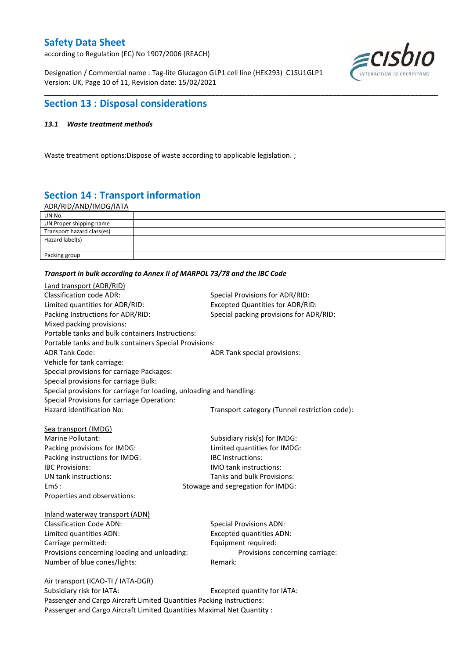according to Regulation (EC) No 1907/2006 (REACH)

Designation / Commercial name : Tag-lite Glucagon GLP1 cell line (HEK293) C1SU1GLP1 Version: UK, Page 10 of 11, Revision date: 15/02/2021



## **Section 13 : Disposal considerations**

### *13.1 Waste treatment methods*

Waste treatment options:Dispose of waste according to applicable legislation. ;

# **Section 14 : Transport information**

ADR/RID/AND/IMDG/IATA

| UN No.                     |  |
|----------------------------|--|
| UN Proper shipping name    |  |
| Transport hazard class(es) |  |
| Hazard label(s)            |  |
| Packing group              |  |

\_\_\_\_\_\_\_\_\_\_\_\_\_\_\_\_\_\_\_\_\_\_\_\_\_\_\_\_\_\_\_\_\_\_\_\_\_\_\_\_\_\_\_\_\_\_\_\_\_\_\_\_\_\_\_\_\_\_\_\_\_\_\_\_\_\_\_\_\_\_\_\_\_\_\_\_\_\_\_\_\_\_\_\_\_\_\_\_\_\_\_\_\_\_\_\_\_\_\_\_\_

#### *Transport in bulk according to Annex II of MARPOL 73/78 and the IBC Code*

| Land transport (ADR/RID)                                             |                                               |
|----------------------------------------------------------------------|-----------------------------------------------|
| <b>Classification code ADR:</b>                                      | Special Provisions for ADR/RID:               |
| Limited quantities for ADR/RID:                                      | <b>Excepted Quantities for ADR/RID:</b>       |
| Packing Instructions for ADR/RID:                                    | Special packing provisions for ADR/RID:       |
| Mixed packing provisions:                                            |                                               |
| Portable tanks and bulk containers Instructions:                     |                                               |
| Portable tanks and bulk containers Special Provisions:               |                                               |
| <b>ADR Tank Code:</b>                                                | ADR Tank special provisions:                  |
| Vehicle for tank carriage:                                           |                                               |
| Special provisions for carriage Packages:                            |                                               |
| Special provisions for carriage Bulk:                                |                                               |
| Special provisions for carriage for loading, unloading and handling: |                                               |
| Special Provisions for carriage Operation:                           |                                               |
| Hazard identification No:                                            | Transport category (Tunnel restriction code): |
|                                                                      |                                               |
| Sea transport (IMDG)                                                 |                                               |
| Marine Pollutant:                                                    | Subsidiary risk(s) for IMDG:                  |
| Packing provisions for IMDG:                                         | Limited quantities for IMDG:                  |
| Packing instructions for IMDG:                                       | <b>IBC</b> Instructions:                      |
| <b>IBC Provisions:</b>                                               | IMO tank instructions:                        |
| UN tank instructions:                                                | Tanks and bulk Provisions:                    |
| EmS:                                                                 | Stowage and segregation for IMDG:             |
| Properties and observations:                                         |                                               |
| Inland waterway transport (ADN)                                      |                                               |
| <b>Classification Code ADN:</b>                                      | <b>Special Provisions ADN:</b>                |
| Limited quantities ADN:                                              | <b>Excepted quantities ADN:</b>               |
| Carriage permitted:                                                  | Equipment required:                           |
| Provisions concerning loading and unloading:                         | Provisions concerning carriage:               |
| Number of blue cones/lights:                                         | Remark:                                       |
| Air transport (ICAO-TI / IATA-DGR)                                   |                                               |
| Subcidiary rick for IATA.                                            | Evranted quantity for IATA.                   |

Subsidiary risk for IATA: Excepted quantity for IATA: Passenger and Cargo Aircraft Limited Quantities Packing Instructions: Passenger and Cargo Aircraft Limited Quantities Maximal Net Quantity :